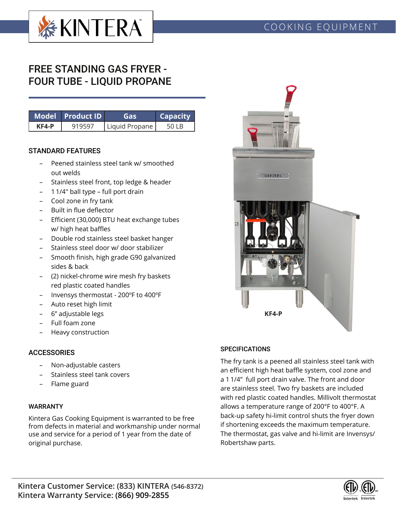

# FREE STANDING GAS FRYER - FOUR TUBE - LIQUID PROPANE

|         | Model Product ID | Gas            | <b>Capacity</b> |  |  |
|---------|------------------|----------------|-----------------|--|--|
| $KFA-P$ | 919597           | Liquid Propane |                 |  |  |

#### STANDARD FEATURES

- Peened stainless steel tank w/ smoothed out welds
- Stainless steel front, top ledge & header
- 1 1/4" ball type full port drain
- Cool zone in fry tank
- Built in flue deflector
- Efficient (30,000) BTU heat exchange tubes w/ high heat baffles
- Double rod stainless steel basket hanger
- Stainless steel door w/ door stabilizer
- Smooth finish, high grade G90 galvanized sides & back
- (2) nickel-chrome wire mesh fry baskets red plastic coated handles
- Invensys thermostat 200ºF to 400ºF
- Auto reset high limit
- 6" adjustable legs
- Full foam zone
- Heavy construction

## **ACCESSORIES**

- Non-adjustable casters
- Stainless steel tank covers
- Flame guard

#### WARRANTY

Kintera Gas Cooking Equipment is warranted to be free from defects in material and workmanship under normal use and service for a period of 1 year from the date of original purchase.



#### **SPECIFICATIONS**

The fry tank is a peened all stainless steel tank with an efficient high heat baffle system, cool zone and a 1 1/4" full port drain valve. The front and door are stainless steel. Two fry baskets are included with red plastic coated handles. Millivolt thermostat allows a temperature range of 200°F to 400°F. A back-up safety hi-limit control shuts the fryer down if shortening exceeds the maximum temperature. The thermostat, gas valve and hi-limit are Invensys/ Robertshaw parts.